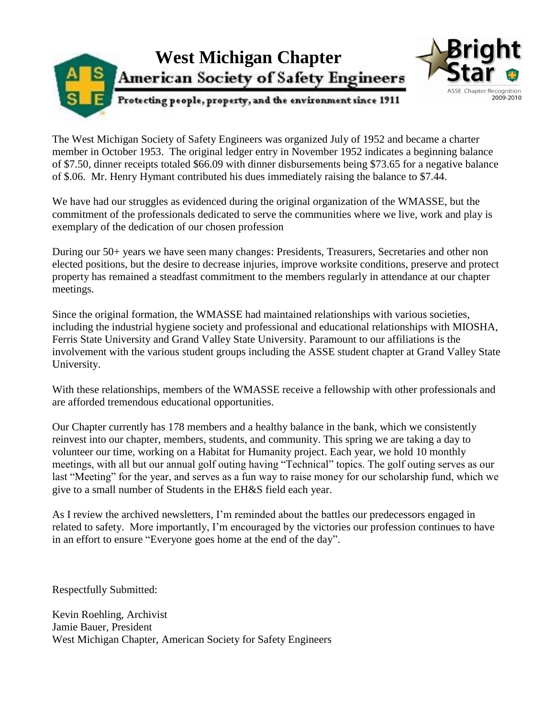

The West Michigan Society of Safety Engineers was organized July of 1952 and became a charter member in October 1953. The original ledger entry in November 1952 indicates a beginning balance of \$7.50, dinner receipts totaled \$66.09 with dinner disbursements being \$73.65 for a negative balance of \$.06. Mr. Henry Hymant contributed his dues immediately raising the balance to \$7.44.

We have had our struggles as evidenced during the original organization of the WMASSE, but the commitment of the professionals dedicated to serve the communities where we live, work and play is exemplary of the dedication of our chosen profession

During our 50+ years we have seen many changes: Presidents, Treasurers, Secretaries and other non elected positions, but the desire to decrease injuries, improve worksite conditions, preserve and protect property has remained a steadfast commitment to the members regularly in attendance at our chapter meetings.

Since the original formation, the WMASSE had maintained relationships with various societies, including the industrial hygiene society and professional and educational relationships with MIOSHA, Ferris State University and Grand Valley State University. Paramount to our affiliations is the involvement with the various student groups including the ASSE student chapter at Grand Valley State University.

With these relationships, members of the WMASSE receive a fellowship with other professionals and are afforded tremendous educational opportunities.

Our Chapter currently has 178 members and a healthy balance in the bank, which we consistently reinvest into our chapter, members, students, and community. This spring we are taking a day to volunteer our time, working on a Habitat for Humanity project. Each year, we hold 10 monthly meetings, with all but our annual golf outing having "Technical" topics. The golf outing serves as our last "Meeting" for the year, and serves as a fun way to raise money for our scholarship fund, which we give to a small number of Students in the EH&S field each year.

As I review the archived newsletters, I'm reminded about the battles our predecessors engaged in related to safety. More importantly, I'm encouraged by the victories our profession continues to have in an effort to ensure "Everyone goes home at the end of the day".

Respectfully Submitted:

Kevin Roehling, Archivist Jamie Bauer, President West Michigan Chapter, American Society for Safety Engineers